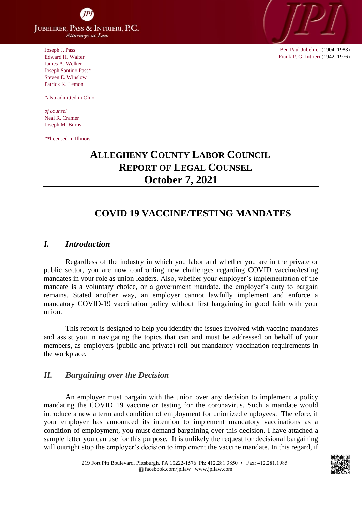**JUBELIRER, PASS & INTRIERI, P.C.** Attorneys-at-Law

Joseph J. Pass Edward H. Walter James A. Welker Joseph Santino Pass\* Steven E. Winslow Patrick K. Lemon

\*also admitted in Ohio

*of counsel* Neal R. Cramer Joseph M. Burns

\*\*licensed in Illinois



Ben Paul Jubelirer (1904–1983) Frank P. G. Intrieri (1942–1976)

# **ALLEGHENY COUNTY LABOR COUNCIL REPORT OF LEGAL COUNSEL October 7, 2021**

## **COVID 19 VACCINE/TESTING MANDATES**

#### *I. Introduction*

Regardless of the industry in which you labor and whether you are in the private or public sector, you are now confronting new challenges regarding COVID vaccine/testing mandates in your role as union leaders. Also, whether your employer's implementation of the mandate is a voluntary choice, or a government mandate, the employer's duty to bargain remains. Stated another way, an employer cannot lawfully implement and enforce a mandatory COVID-19 vaccination policy without first bargaining in good faith with your union.

This report is designed to help you identify the issues involved with vaccine mandates and assist you in navigating the topics that can and must be addressed on behalf of your members, as employers (public and private) roll out mandatory vaccination requirements in the workplace.

#### *II. Bargaining over the Decision*

An employer must bargain with the union over any decision to implement a policy mandating the COVID 19 vaccine or testing for the coronavirus. Such a mandate would introduce a new a term and condition of employment for unionized employees. Therefore, if your employer has announced its intention to implement mandatory vaccinations as a condition of employment, you must demand bargaining over this decision. I have attached a sample letter you can use for this purpose. It is unlikely the request for decisional bargaining will outright stop the employer's decision to implement the vaccine mandate. In this regard, if

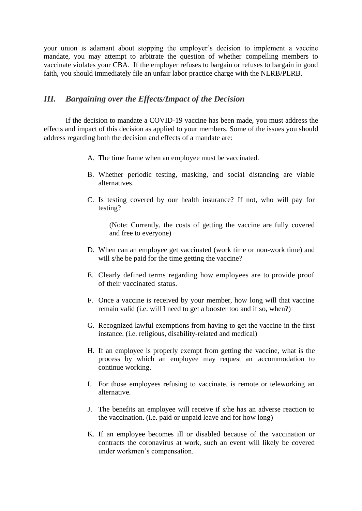your union is adamant about stopping the employer's decision to implement a vaccine mandate, you may attempt to arbitrate the question of whether compelling members to vaccinate violates your CBA. If the employer refuses to bargain or refuses to bargain in good faith, you should immediately file an unfair labor practice charge with the NLRB/PLRB.

#### *III. Bargaining over the Effects/Impact of the Decision*

If the decision to mandate a COVID-19 vaccine has been made, you must address the effects and impact of this decision as applied to your members. Some of the issues you should address regarding both the decision and effects of a mandate are:

- A. The time frame when an employee must be vaccinated.
- B. Whether periodic testing, masking, and social distancing are viable alternatives.
- C. Is testing covered by our health insurance? If not, who will pay for testing?

(Note: Currently, the costs of getting the vaccine are fully covered and free to everyone)

- D. When can an employee get vaccinated (work time or non-work time) and will s/he be paid for the time getting the vaccine?
- E. Clearly defined terms regarding how employees are to provide proof of their vaccinated status.
- F. Once a vaccine is received by your member, how long will that vaccine remain valid (i.e. will I need to get a booster too and if so, when?)
- G. Recognized lawful exemptions from having to get the vaccine in the first instance. (i.e. religious, disability-related and medical)
- H. If an employee is properly exempt from getting the vaccine, what is the process by which an employee may request an accommodation to continue working.
- I. For those employees refusing to vaccinate, is remote or teleworking an alternative.
- J. The benefits an employee will receive if s/he has an adverse reaction to the vaccination. (i.e. paid or unpaid leave and for how long)
- K. If an employee becomes ill or disabled because of the vaccination or contracts the coronavirus at work, such an event will likely be covered under workmen's compensation.